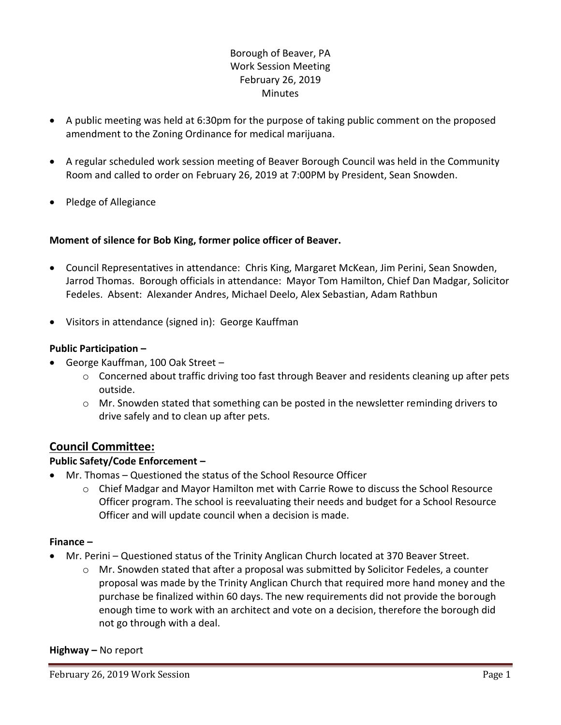# Borough of Beaver, PA Work Session Meeting February 26, 2019 **Minutes**

- A public meeting was held at 6:30pm for the purpose of taking public comment on the proposed amendment to the Zoning Ordinance for medical marijuana.
- A regular scheduled work session meeting of Beaver Borough Council was held in the Community Room and called to order on February 26, 2019 at 7:00PM by President, Sean Snowden.
- Pledge of Allegiance

## **Moment of silence for Bob King, former police officer of Beaver.**

- Council Representatives in attendance: Chris King, Margaret McKean, Jim Perini, Sean Snowden, Jarrod Thomas. Borough officials in attendance: Mayor Tom Hamilton, Chief Dan Madgar, Solicitor Fedeles. Absent: Alexander Andres, Michael Deelo, Alex Sebastian, Adam Rathbun
- Visitors in attendance (signed in): George Kauffman

### **Public Participation –**

- George Kauffman, 100 Oak Street
	- $\circ$  Concerned about traffic driving too fast through Beaver and residents cleaning up after pets outside.
	- $\circ$  Mr. Snowden stated that something can be posted in the newsletter reminding drivers to drive safely and to clean up after pets.

# **Council Committee:**

### **Public Safety/Code Enforcement –**

- Mr. Thomas Questioned the status of the School Resource Officer
	- $\circ$  Chief Madgar and Mayor Hamilton met with Carrie Rowe to discuss the School Resource Officer program. The school is reevaluating their needs and budget for a School Resource Officer and will update council when a decision is made.

### **Finance –**

- Mr. Perini Questioned status of the Trinity Anglican Church located at 370 Beaver Street.
	- $\circ$  Mr. Snowden stated that after a proposal was submitted by Solicitor Fedeles, a counter proposal was made by the Trinity Anglican Church that required more hand money and the purchase be finalized within 60 days. The new requirements did not provide the borough enough time to work with an architect and vote on a decision, therefore the borough did not go through with a deal.

### **Highway –** No report